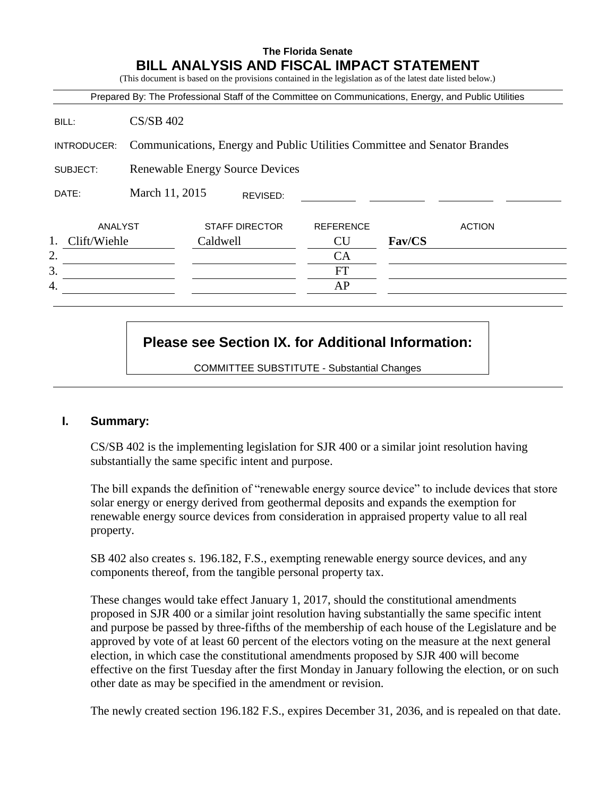## **The Florida Senate BILL ANALYSIS AND FISCAL IMPACT STATEMENT**

(This document is based on the provisions contained in the legislation as of the latest date listed below.)

|                    |                                                                           |                                        |                  | Prepared By: The Professional Staff of the Committee on Communications, Energy, and Public Utilities |
|--------------------|---------------------------------------------------------------------------|----------------------------------------|------------------|------------------------------------------------------------------------------------------------------|
| BILL:              | $CS/SB$ 402                                                               |                                        |                  |                                                                                                      |
| INTRODUCER:        | Communications, Energy and Public Utilities Committee and Senator Brandes |                                        |                  |                                                                                                      |
| SUBJECT:           |                                                                           | <b>Renewable Energy Source Devices</b> |                  |                                                                                                      |
| DATE:              | March 11, 2015                                                            | REVISED:                               |                  |                                                                                                      |
| ANALYST            |                                                                           | <b>STAFF DIRECTOR</b>                  | <b>REFERENCE</b> | <b>ACTION</b>                                                                                        |
| 1.<br>Clift/Wiehle |                                                                           | Caldwell                               | <b>CU</b>        | Fav/CS                                                                                               |
| 2.                 |                                                                           |                                        | <b>CA</b>        |                                                                                                      |
| 3.                 |                                                                           |                                        | FT               |                                                                                                      |
|                    |                                                                           |                                        | AP               |                                                                                                      |

# **Please see Section IX. for Additional Information:**

COMMITTEE SUBSTITUTE - Substantial Changes

### **I. Summary:**

CS/SB 402 is the implementing legislation for SJR 400 or a similar joint resolution having substantially the same specific intent and purpose.

The bill expands the definition of "renewable energy source device" to include devices that store solar energy or energy derived from geothermal deposits and expands the exemption for renewable energy source devices from consideration in appraised property value to all real property.

SB 402 also creates s. 196.182, F.S., exempting renewable energy source devices, and any components thereof, from the tangible personal property tax.

These changes would take effect January 1, 2017, should the constitutional amendments proposed in SJR 400 or a similar joint resolution having substantially the same specific intent and purpose be passed by three-fifths of the membership of each house of the Legislature and be approved by vote of at least 60 percent of the electors voting on the measure at the next general election, in which case the constitutional amendments proposed by SJR 400 will become effective on the first Tuesday after the first Monday in January following the election, or on such other date as may be specified in the amendment or revision.

The newly created section 196.182 F.S., expires December 31, 2036, and is repealed on that date.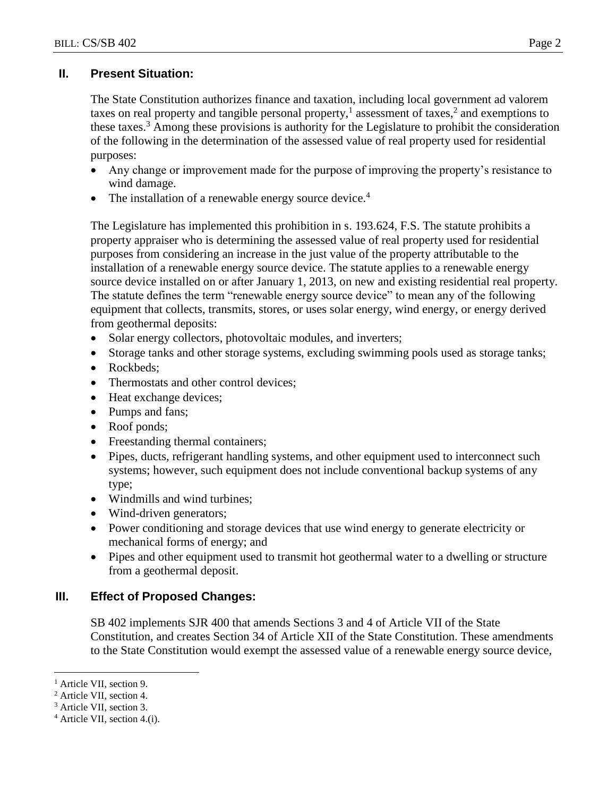# **II. Present Situation:**

The State Constitution authorizes finance and taxation, including local government ad valorem taxes on real property and tangible personal property,<sup>1</sup> assessment of taxes,<sup>2</sup> and exemptions to these taxes.<sup>3</sup> Among these provisions is authority for the Legislature to prohibit the consideration of the following in the determination of the assessed value of real property used for residential purposes:

- Any change or improvement made for the purpose of improving the property's resistance to wind damage.
- The installation of a renewable energy source device. $4$

The Legislature has implemented this prohibition in s. 193.624, F.S. The statute prohibits a property appraiser who is determining the assessed value of real property used for residential purposes from considering an increase in the just value of the property attributable to the installation of a renewable energy source device. The statute applies to a renewable energy source device installed on or after January 1, 2013, on new and existing residential real property. The statute defines the term "renewable energy source device" to mean any of the following equipment that collects, transmits, stores, or uses solar energy, wind energy, or energy derived from geothermal deposits:

- Solar energy collectors, photovoltaic modules, and inverters;
- Storage tanks and other storage systems, excluding swimming pools used as storage tanks;
- Rockbeds:
- Thermostats and other control devices;
- Heat exchange devices;
- Pumps and fans;
- Roof ponds;
- Freestanding thermal containers;
- Pipes, ducts, refrigerant handling systems, and other equipment used to interconnect such systems; however, such equipment does not include conventional backup systems of any type;
- Windmills and wind turbines;
- Wind-driven generators;
- Power conditioning and storage devices that use wind energy to generate electricity or mechanical forms of energy; and
- Pipes and other equipment used to transmit hot geothermal water to a dwelling or structure from a geothermal deposit.

# **III. Effect of Proposed Changes:**

SB 402 implements SJR 400 that amends Sections 3 and 4 of Article VII of the State Constitution, and creates Section 34 of Article XII of the State Constitution. These amendments to the State Constitution would exempt the assessed value of a renewable energy source device,

 $\overline{a}$ 

<sup>&</sup>lt;sup>1</sup> Article VII, section 9.

<sup>2</sup> Article VII, section 4.

<sup>3</sup> Article VII, section 3.

<sup>4</sup> Article VII, section 4.(i).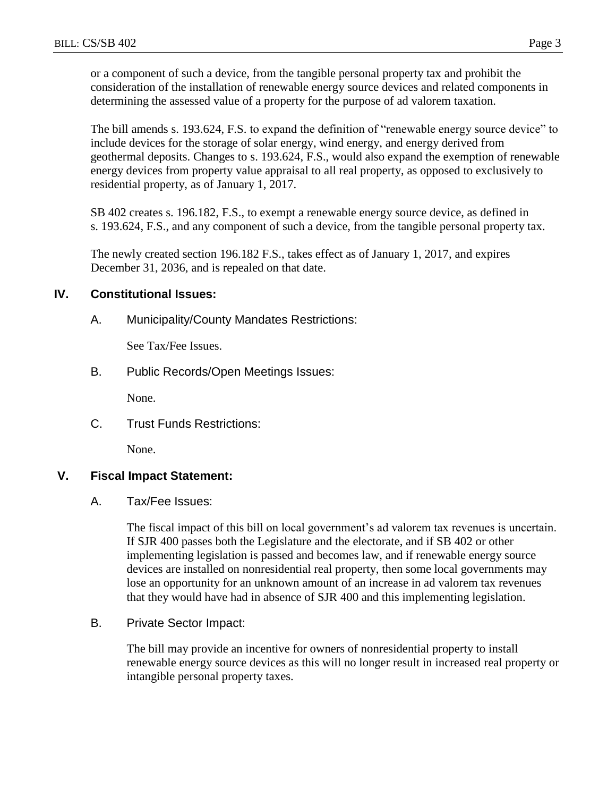or a component of such a device, from the tangible personal property tax and prohibit the consideration of the installation of renewable energy source devices and related components in determining the assessed value of a property for the purpose of ad valorem taxation.

The bill amends s. 193.624, F.S. to expand the definition of "renewable energy source device" to include devices for the storage of solar energy, wind energy, and energy derived from geothermal deposits. Changes to s. 193.624, F.S., would also expand the exemption of renewable energy devices from property value appraisal to all real property, as opposed to exclusively to residential property, as of January 1, 2017.

SB 402 creates s. 196.182, F.S., to exempt a renewable energy source device, as defined in s. 193.624, F.S., and any component of such a device, from the tangible personal property tax.

The newly created section 196.182 F.S., takes effect as of January 1, 2017, and expires December 31, 2036, and is repealed on that date.

## **IV. Constitutional Issues:**

A. Municipality/County Mandates Restrictions:

See Tax/Fee Issues.

B. Public Records/Open Meetings Issues:

None.

C. Trust Funds Restrictions:

None.

## **V. Fiscal Impact Statement:**

A. Tax/Fee Issues:

The fiscal impact of this bill on local government's ad valorem tax revenues is uncertain. If SJR 400 passes both the Legislature and the electorate, and if SB 402 or other implementing legislation is passed and becomes law, and if renewable energy source devices are installed on nonresidential real property, then some local governments may lose an opportunity for an unknown amount of an increase in ad valorem tax revenues that they would have had in absence of SJR 400 and this implementing legislation.

B. Private Sector Impact:

The bill may provide an incentive for owners of nonresidential property to install renewable energy source devices as this will no longer result in increased real property or intangible personal property taxes.